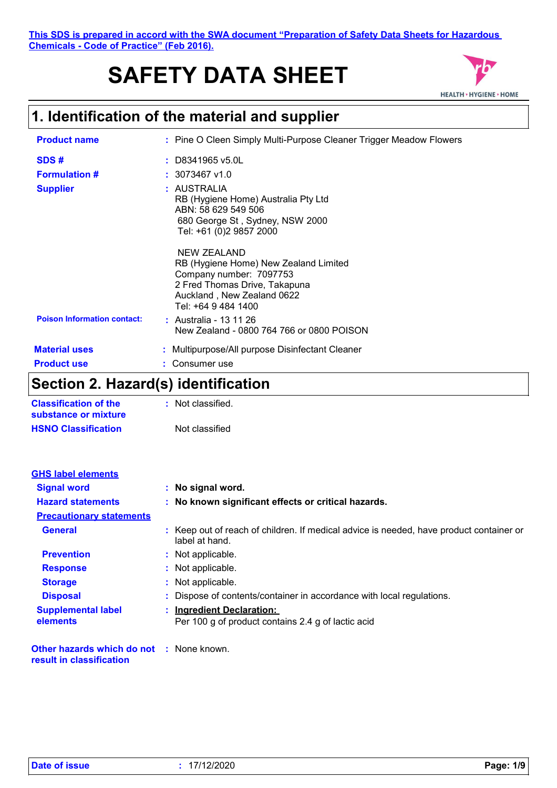# **SAFETY DATA SHEET**



## **1. Identification of the material and supplier**

| <b>Product name</b>                | : Pine O Cleen Simply Multi-Purpose Cleaner Trigger Meadow Flowers                                                                                                    |
|------------------------------------|-----------------------------------------------------------------------------------------------------------------------------------------------------------------------|
| SDS#                               | $:$ D8341965 v5.0L                                                                                                                                                    |
| <b>Formulation #</b>               | $: 3073467$ v1.0                                                                                                                                                      |
| <b>Supplier</b>                    | : AUSTRALIA<br>RB (Hygiene Home) Australia Pty Ltd<br>ABN: 58 629 549 506<br>680 George St, Sydney, NSW 2000<br>Tel: +61 (0)2 9857 2000                               |
|                                    | NEW ZEALAND<br>RB (Hygiene Home) New Zealand Limited<br>Company number: 7097753<br>2 Fred Thomas Drive, Takapuna<br>Auckland, New Zealand 0622<br>Tel: +64 9 484 1400 |
| <b>Poison Information contact:</b> | : Australia - 13 11 26<br>New Zealand - 0800 764 766 or 0800 POISON                                                                                                   |
| <b>Material uses</b>               | : Multipurpose/All purpose Disinfectant Cleaner                                                                                                                       |
| <b>Product use</b>                 | Consumer use                                                                                                                                                          |

## **Section 2. Hazard(s) identification**

| <b>Classification of the</b><br>substance or mixture | Not classified. |
|------------------------------------------------------|-----------------|
| <b>HSNO Classification</b>                           | Not classified  |

| <b>GHS label elements</b>             |                                                                                                           |
|---------------------------------------|-----------------------------------------------------------------------------------------------------------|
| <b>Signal word</b>                    | : No signal word.                                                                                         |
| <b>Hazard statements</b>              | : No known significant effects or critical hazards.                                                       |
| <b>Precautionary statements</b>       |                                                                                                           |
| <b>General</b>                        | : Keep out of reach of children. If medical advice is needed, have product container or<br>label at hand. |
| <b>Prevention</b>                     | : Not applicable.                                                                                         |
| <b>Response</b>                       | : Not applicable.                                                                                         |
| <b>Storage</b>                        | : Not applicable.                                                                                         |
| <b>Disposal</b>                       | : Dispose of contents/container in accordance with local regulations.                                     |
| <b>Supplemental label</b><br>elements | : Ingredient Declaration:<br>Per 100 g of product contains 2.4 g of lactic acid                           |

**Other hazards which do not :** None known. **result in classification**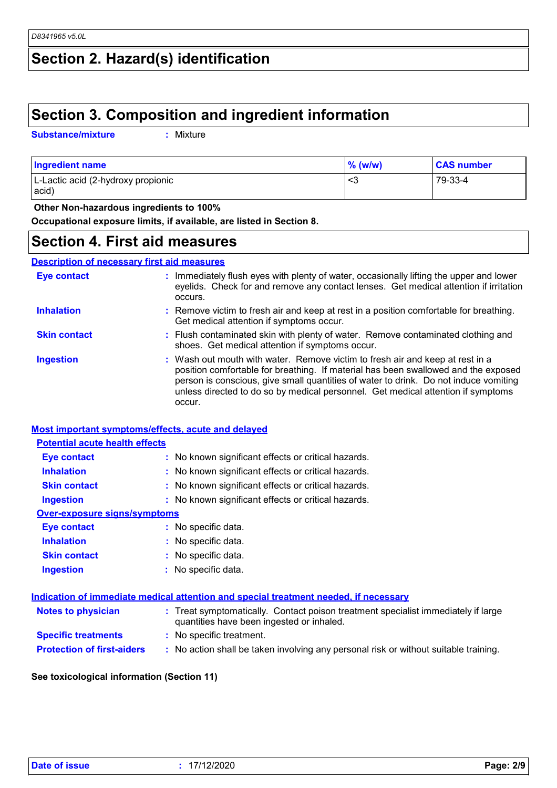## **Section 2. Hazard(s) identification**

## **Section 3. Composition and ingredient information**

**Substance/mixture :**

: Mixture

| <b>Ingredient name</b>             | $\%$ (w/w) | <b>CAS number</b> |
|------------------------------------|------------|-------------------|
| L-Lactic acid (2-hydroxy propionic | <స         | 79-33-4           |
| acid)                              |            |                   |

 **Other Non-hazardous ingredients to 100%**

**Occupational exposure limits, if available, are listed in Section 8.**

#### **Section 4. First aid measures**

#### **Description of necessary first aid measures**

| <b>Eye contact</b>  | : Immediately flush eyes with plenty of water, occasionally lifting the upper and lower<br>eyelids. Check for and remove any contact lenses. Get medical attention if irritation<br>occurs.                                                                                                                                                               |
|---------------------|-----------------------------------------------------------------------------------------------------------------------------------------------------------------------------------------------------------------------------------------------------------------------------------------------------------------------------------------------------------|
| <b>Inhalation</b>   | : Remove victim to fresh air and keep at rest in a position comfortable for breathing.<br>Get medical attention if symptoms occur.                                                                                                                                                                                                                        |
| <b>Skin contact</b> | : Flush contaminated skin with plenty of water. Remove contaminated clothing and<br>shoes. Get medical attention if symptoms occur.                                                                                                                                                                                                                       |
| <b>Ingestion</b>    | : Wash out mouth with water. Remove victim to fresh air and keep at rest in a<br>position comfortable for breathing. If material has been swallowed and the exposed<br>person is conscious, give small quantities of water to drink. Do not induce vomiting<br>unless directed to do so by medical personnel. Get medical attention if symptoms<br>occur. |

#### **Most important symptoms/effects, acute and delayed**

#### **Potential acute health effects**

| <b>Eye contact</b>                  | : No known significant effects or critical hazards. |
|-------------------------------------|-----------------------------------------------------|
| <b>Inhalation</b>                   | : No known significant effects or critical hazards. |
| <b>Skin contact</b>                 | : No known significant effects or critical hazards. |
| <b>Ingestion</b>                    | : No known significant effects or critical hazards. |
| <b>Over-exposure signs/symptoms</b> |                                                     |
| <b>Eye contact</b>                  | : No specific data.                                 |
| <b>Inhalation</b>                   | : No specific data.                                 |
| <b>Skin contact</b>                 | : No specific data.                                 |
| <b>Ingestion</b>                    | : No specific data.                                 |

| Indication of immediate medical attention and special treatment needed, if necessary |                                                                                                                                |  |  |
|--------------------------------------------------------------------------------------|--------------------------------------------------------------------------------------------------------------------------------|--|--|
| <b>Notes to physician</b>                                                            | : Treat symptomatically. Contact poison treatment specialist immediately if large<br>quantities have been ingested or inhaled. |  |  |
| <b>Specific treatments</b>                                                           | : No specific treatment.                                                                                                       |  |  |
| <b>Protection of first-aiders</b>                                                    | : No action shall be taken involving any personal risk or without suitable training.                                           |  |  |

**See toxicological information (Section 11)**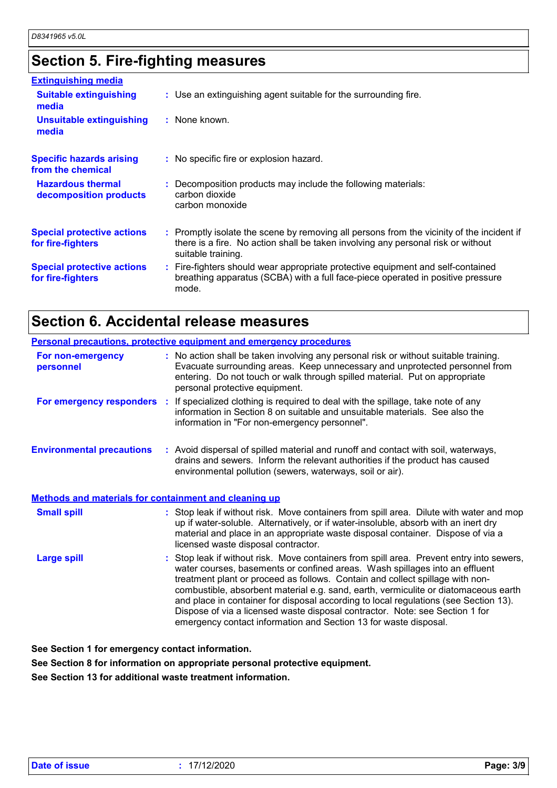## **Section 5. Fire-fighting measures**

| <b>Extinguishing media</b>                             |                                                                                                                                                                                                     |
|--------------------------------------------------------|-----------------------------------------------------------------------------------------------------------------------------------------------------------------------------------------------------|
| <b>Suitable extinguishing</b><br>media                 | : Use an extinguishing agent suitable for the surrounding fire.                                                                                                                                     |
| <b>Unsuitable extinguishing</b><br>media               | : None known.                                                                                                                                                                                       |
| <b>Specific hazards arising</b><br>from the chemical   | : No specific fire or explosion hazard.                                                                                                                                                             |
| <b>Hazardous thermal</b><br>decomposition products     | : Decomposition products may include the following materials:<br>carbon dioxide<br>carbon monoxide                                                                                                  |
| <b>Special protective actions</b><br>for fire-fighters | : Promptly isolate the scene by removing all persons from the vicinity of the incident if<br>there is a fire. No action shall be taken involving any personal risk or without<br>suitable training. |
| <b>Special protective actions</b><br>for fire-fighters | : Fire-fighters should wear appropriate protective equipment and self-contained<br>breathing apparatus (SCBA) with a full face-piece operated in positive pressure<br>mode.                         |

# **Section 6. Accidental release measures**

| <b>Personal precautions, protective equipment and emergency procedures</b> |                                                                                                                                                                                                                                                                                                                                                                                                                                                                                                                                                                                             |  |  |
|----------------------------------------------------------------------------|---------------------------------------------------------------------------------------------------------------------------------------------------------------------------------------------------------------------------------------------------------------------------------------------------------------------------------------------------------------------------------------------------------------------------------------------------------------------------------------------------------------------------------------------------------------------------------------------|--|--|
| For non-emergency<br>personnel                                             | : No action shall be taken involving any personal risk or without suitable training.<br>Evacuate surrounding areas. Keep unnecessary and unprotected personnel from<br>entering. Do not touch or walk through spilled material. Put on appropriate<br>personal protective equipment.                                                                                                                                                                                                                                                                                                        |  |  |
|                                                                            | For emergency responders : If specialized clothing is required to deal with the spillage, take note of any<br>information in Section 8 on suitable and unsuitable materials. See also the<br>information in "For non-emergency personnel".                                                                                                                                                                                                                                                                                                                                                  |  |  |
| <b>Environmental precautions</b>                                           | : Avoid dispersal of spilled material and runoff and contact with soil, waterways,<br>drains and sewers. Inform the relevant authorities if the product has caused<br>environmental pollution (sewers, waterways, soil or air).                                                                                                                                                                                                                                                                                                                                                             |  |  |
| <b>Methods and materials for containment and cleaning up</b>               |                                                                                                                                                                                                                                                                                                                                                                                                                                                                                                                                                                                             |  |  |
| <b>Small spill</b>                                                         | : Stop leak if without risk. Move containers from spill area. Dilute with water and mop<br>up if water-soluble. Alternatively, or if water-insoluble, absorb with an inert dry<br>material and place in an appropriate waste disposal container. Dispose of via a<br>licensed waste disposal contractor.                                                                                                                                                                                                                                                                                    |  |  |
| <b>Large spill</b>                                                         | : Stop leak if without risk. Move containers from spill area. Prevent entry into sewers,<br>water courses, basements or confined areas. Wash spillages into an effluent<br>treatment plant or proceed as follows. Contain and collect spillage with non-<br>combustible, absorbent material e.g. sand, earth, vermiculite or diatomaceous earth<br>and place in container for disposal according to local regulations (see Section 13).<br>Dispose of via a licensed waste disposal contractor. Note: see Section 1 for<br>emergency contact information and Section 13 for waste disposal. |  |  |

**See Section 1 for emergency contact information.**

**See Section 8 for information on appropriate personal protective equipment.**

**See Section 13 for additional waste treatment information.**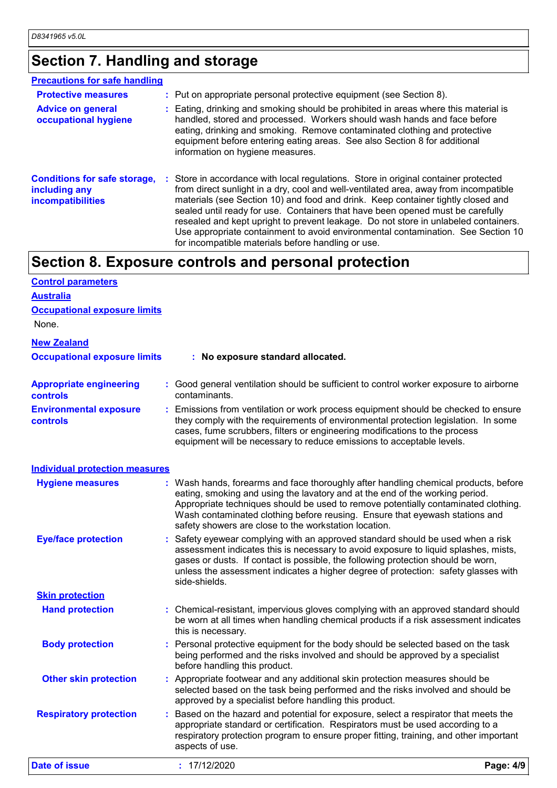# **Section 7. Handling and storage**

| <b>Precautions for safe handling</b>                                             |                                                                                                                                                                                                                                                                                                                                                                                                                                                                                                                                                                                    |
|----------------------------------------------------------------------------------|------------------------------------------------------------------------------------------------------------------------------------------------------------------------------------------------------------------------------------------------------------------------------------------------------------------------------------------------------------------------------------------------------------------------------------------------------------------------------------------------------------------------------------------------------------------------------------|
| <b>Protective measures</b>                                                       | : Put on appropriate personal protective equipment (see Section 8).                                                                                                                                                                                                                                                                                                                                                                                                                                                                                                                |
| <b>Advice on general</b><br>occupational hygiene                                 | : Eating, drinking and smoking should be prohibited in areas where this material is<br>handled, stored and processed. Workers should wash hands and face before<br>eating, drinking and smoking. Remove contaminated clothing and protective<br>equipment before entering eating areas. See also Section 8 for additional<br>information on hygiene measures.                                                                                                                                                                                                                      |
| <b>Conditions for safe storage,</b><br>including any<br><b>incompatibilities</b> | : Store in accordance with local regulations. Store in original container protected<br>from direct sunlight in a dry, cool and well-ventilated area, away from incompatible<br>materials (see Section 10) and food and drink. Keep container tightly closed and<br>sealed until ready for use. Containers that have been opened must be carefully<br>resealed and kept upright to prevent leakage. Do not store in unlabeled containers.<br>Use appropriate containment to avoid environmental contamination. See Section 10<br>for incompatible materials before handling or use. |

## **Section 8. Exposure controls and personal protection**

| <b>Control parameters</b>                         |                                                                                                                                                                                                                                                                                                                                                                                                   |           |
|---------------------------------------------------|---------------------------------------------------------------------------------------------------------------------------------------------------------------------------------------------------------------------------------------------------------------------------------------------------------------------------------------------------------------------------------------------------|-----------|
| <b>Australia</b>                                  |                                                                                                                                                                                                                                                                                                                                                                                                   |           |
| <b>Occupational exposure limits</b>               |                                                                                                                                                                                                                                                                                                                                                                                                   |           |
| None.                                             |                                                                                                                                                                                                                                                                                                                                                                                                   |           |
| <b>New Zealand</b>                                |                                                                                                                                                                                                                                                                                                                                                                                                   |           |
| <b>Occupational exposure limits</b>               | : No exposure standard allocated.                                                                                                                                                                                                                                                                                                                                                                 |           |
| <b>Appropriate engineering</b><br><b>controls</b> | : Good general ventilation should be sufficient to control worker exposure to airborne<br>contaminants.                                                                                                                                                                                                                                                                                           |           |
| <b>Environmental exposure</b><br><b>controls</b>  | : Emissions from ventilation or work process equipment should be checked to ensure<br>they comply with the requirements of environmental protection legislation. In some<br>cases, fume scrubbers, filters or engineering modifications to the process<br>equipment will be necessary to reduce emissions to acceptable levels.                                                                   |           |
| <b>Individual protection measures</b>             |                                                                                                                                                                                                                                                                                                                                                                                                   |           |
| <b>Hygiene measures</b>                           | : Wash hands, forearms and face thoroughly after handling chemical products, before<br>eating, smoking and using the lavatory and at the end of the working period.<br>Appropriate techniques should be used to remove potentially contaminated clothing.<br>Wash contaminated clothing before reusing. Ensure that eyewash stations and<br>safety showers are close to the workstation location. |           |
| <b>Eye/face protection</b>                        | : Safety eyewear complying with an approved standard should be used when a risk<br>assessment indicates this is necessary to avoid exposure to liquid splashes, mists,<br>gases or dusts. If contact is possible, the following protection should be worn,<br>unless the assessment indicates a higher degree of protection: safety glasses with<br>side-shields.                                 |           |
| <b>Skin protection</b>                            |                                                                                                                                                                                                                                                                                                                                                                                                   |           |
| <b>Hand protection</b>                            | : Chemical-resistant, impervious gloves complying with an approved standard should<br>be worn at all times when handling chemical products if a risk assessment indicates<br>this is necessary.                                                                                                                                                                                                   |           |
| <b>Body protection</b>                            | : Personal protective equipment for the body should be selected based on the task<br>being performed and the risks involved and should be approved by a specialist<br>before handling this product.                                                                                                                                                                                               |           |
| <b>Other skin protection</b>                      | : Appropriate footwear and any additional skin protection measures should be<br>selected based on the task being performed and the risks involved and should be<br>approved by a specialist before handling this product.                                                                                                                                                                         |           |
| <b>Respiratory protection</b>                     | Based on the hazard and potential for exposure, select a respirator that meets the<br>appropriate standard or certification. Respirators must be used according to a<br>respiratory protection program to ensure proper fitting, training, and other important<br>aspects of use.                                                                                                                 |           |
| <b>Date of issue</b>                              | : 17/12/2020                                                                                                                                                                                                                                                                                                                                                                                      | Page: 4/9 |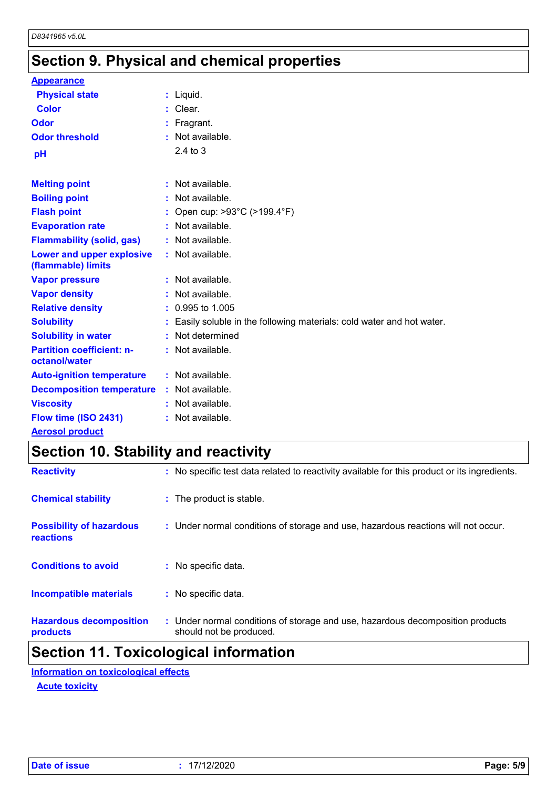## **Section 9. Physical and chemical properties**

| <b>Appearance</b>                                 |                                                                        |
|---------------------------------------------------|------------------------------------------------------------------------|
| <b>Physical state</b>                             | : Liquid.                                                              |
| <b>Color</b>                                      | : Clear.                                                               |
| Odor                                              | : Fragrant.                                                            |
| <b>Odor threshold</b>                             | $:$ Not available.                                                     |
| рH                                                | $2.4$ to $3$                                                           |
|                                                   |                                                                        |
| <b>Melting point</b>                              | : Not available.                                                       |
| <b>Boiling point</b>                              | : Not available.                                                       |
| <b>Flash point</b>                                | : Open cup: $>93^{\circ}$ C ( $>199.4^{\circ}$ F)                      |
| <b>Evaporation rate</b>                           | : Not available.                                                       |
| <b>Flammability (solid, gas)</b>                  | : Not available.                                                       |
| Lower and upper explosive<br>(flammable) limits   | : Not available.                                                       |
| <b>Vapor pressure</b>                             | : Not available.                                                       |
| <b>Vapor density</b>                              | : Not available.                                                       |
| <b>Relative density</b>                           | $: 0.995$ to 1.005                                                     |
| <b>Solubility</b>                                 | : Easily soluble in the following materials: cold water and hot water. |
| <b>Solubility in water</b>                        | : Not determined                                                       |
| <b>Partition coefficient: n-</b><br>octanol/water | : Not available.                                                       |
| <b>Auto-ignition temperature</b>                  | : Not available.                                                       |
| <b>Decomposition temperature</b>                  | : Not available.                                                       |
| <b>Viscosity</b>                                  | : Not available.                                                       |
| Flow time (ISO 2431)                              | : Not available.                                                       |
| <b>Aerosol product</b>                            |                                                                        |

# **Section 10. Stability and reactivity**

| <b>Reactivity</b>                            | : No specific test data related to reactivity available for this product or its ingredients.              |
|----------------------------------------------|-----------------------------------------------------------------------------------------------------------|
| <b>Chemical stability</b>                    | : The product is stable.                                                                                  |
| <b>Possibility of hazardous</b><br>reactions | : Under normal conditions of storage and use, hazardous reactions will not occur.                         |
| <b>Conditions to avoid</b>                   | : No specific data.                                                                                       |
| <b>Incompatible materials</b>                | : No specific data.                                                                                       |
| <b>Hazardous decomposition</b><br>products   | : Under normal conditions of storage and use, hazardous decomposition products<br>should not be produced. |

#### **Section 11. Toxicological information**

**Acute toxicity Information on toxicological effects**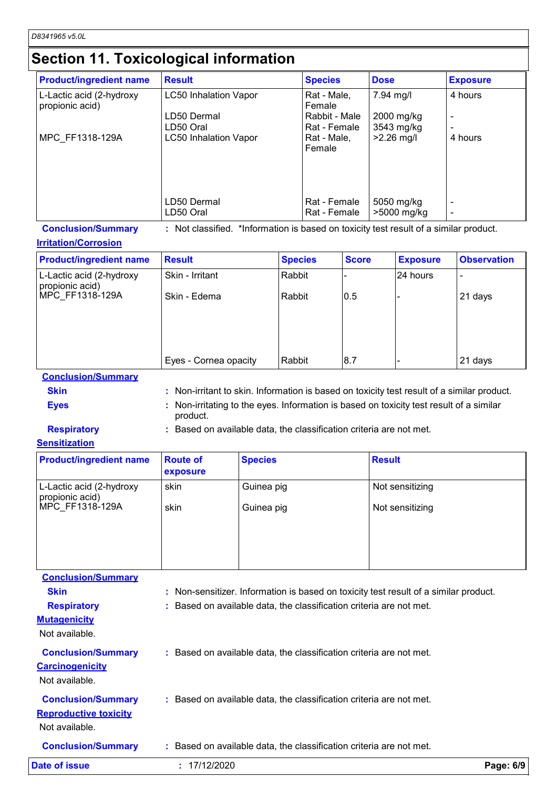## **Section 11. Toxicological information**

| <b>Product/ingredient name</b>              | <b>Result</b>                | <b>Species</b>                | <b>Dose</b>               | <b>Exposure</b> |
|---------------------------------------------|------------------------------|-------------------------------|---------------------------|-----------------|
| L-Lactic acid (2-hydroxy<br>propionic acid) | <b>LC50 Inhalation Vapor</b> | Rat - Male,<br>Female         | 7.94 mg/l                 | 4 hours         |
|                                             | LD50 Dermal<br>LD50 Oral     | Rabbit - Male<br>Rat - Female | 2000 mg/kg<br>3543 mg/kg  | -               |
| MPC FF1318-129A                             | LC50 Inhalation Vapor        | Rat - Male,<br>Female         | $>2.26$ mg/l              | 4 hours         |
|                                             |                              |                               |                           |                 |
|                                             | LD50 Dermal<br>LD50 Oral     | Rat - Female<br>Rat - Female  | 5050 mg/kg<br>>5000 mg/kg |                 |

**Conclusion/Summary :** Not classified. \*Information is based on toxicity test result of a similar product.

#### **Irritation/Corrosion**

| <b>Product/ingredient name</b>              | <b>Result</b>         | <b>Species</b> | <b>Score</b> | <b>Exposure</b> | <b>Observation</b> |
|---------------------------------------------|-----------------------|----------------|--------------|-----------------|--------------------|
| L-Lactic acid (2-hydroxy<br>propionic acid) | Skin - Irritant       | Rabbit         |              | 24 hours        |                    |
| MPC FF1318-129A                             | Skin - Edema          | Rabbit         | 0.5          |                 | 21 days            |
|                                             |                       |                |              |                 |                    |
|                                             |                       |                |              |                 |                    |
|                                             | Eyes - Cornea opacity | Rabbit         | 8.7          |                 | 21 days            |

**Conclusion/Summary**

- **Skin Example 20 Skin :** Non-irritant to skin. Information is based on toxicity test result of a similar product. **Eyes Eyes :** Non-irritating to the eyes. Information is based on toxicity test result of a similar
	- product.

**Respiratory :** Based on available data, the classification criteria are not met.

#### **Sensitization**

| <b>Product/ingredient name</b>              | <b>Route of</b><br>exposure | <b>Species</b> | <b>Result</b>   |
|---------------------------------------------|-----------------------------|----------------|-----------------|
| L-Lactic acid (2-hydroxy<br>propionic acid) | skin                        | Guinea pig     | Not sensitizing |
| MPC FF1318-129A                             | skin                        | Guinea pig     | Not sensitizing |
|                                             |                             |                |                 |

**Carcinogenicity** Not available. **Conclusion/Summary :** Based on available data, the classification criteria are not met. **Mutagenicity** Not available. **Conclusion/Summary :** Based on available data, the classification criteria are not met. **Reproductive toxicity Conclusion/Summary :** Based on available data, the classification criteria are not met. Not available. **Conclusion/Summary Skin Example 20 Skin :** Non-sensitizer. Information is based on toxicity test result of a similar product. **Respiratory <b>:** Based on available data, the classification criteria are not met. **Date of issue :** 17/12/2020 **Page: 6/9**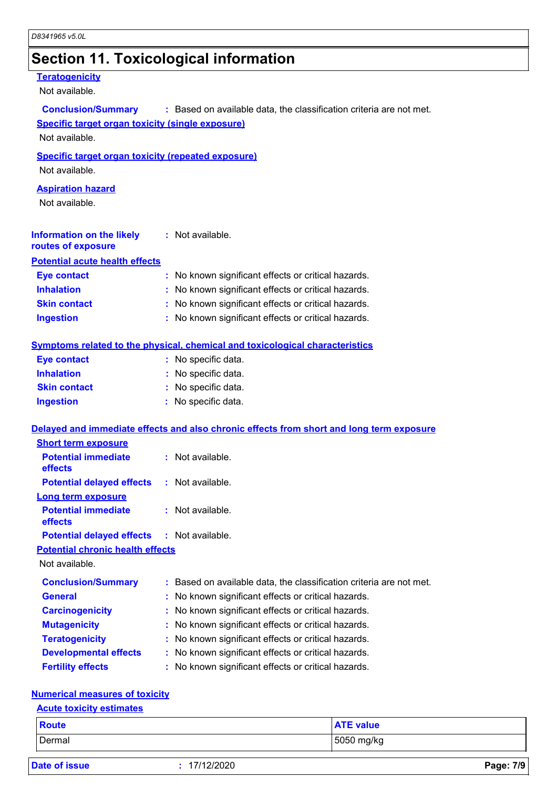# **Section 11. Toxicological information**

#### **Teratogenicity**

Not available.

| <b>Conclusion/Summary</b><br><b>Specific target organ toxicity (single exposure)</b><br>Not available. | : Based on available data, the classification criteria are not met.                      |
|--------------------------------------------------------------------------------------------------------|------------------------------------------------------------------------------------------|
| <b>Specific target organ toxicity (repeated exposure)</b><br>Not available.                            |                                                                                          |
|                                                                                                        |                                                                                          |
| <b>Aspiration hazard</b><br>Not available.                                                             |                                                                                          |
| <b>Information on the likely</b><br>routes of exposure                                                 | : Not available.                                                                         |
| <b>Potential acute health effects</b>                                                                  |                                                                                          |
| <b>Eye contact</b>                                                                                     | : No known significant effects or critical hazards.                                      |
| <b>Inhalation</b>                                                                                      | : No known significant effects or critical hazards.                                      |
| <b>Skin contact</b>                                                                                    | : No known significant effects or critical hazards.                                      |
| <b>Ingestion</b>                                                                                       | : No known significant effects or critical hazards.                                      |
|                                                                                                        | <b>Symptoms related to the physical, chemical and toxicological characteristics</b>      |
| <b>Eye contact</b>                                                                                     | : No specific data.                                                                      |
| <b>Inhalation</b>                                                                                      | : No specific data.                                                                      |
| <b>Skin contact</b>                                                                                    | : No specific data.                                                                      |
| <b>Ingestion</b>                                                                                       | : No specific data.                                                                      |
|                                                                                                        | Delayed and immediate effects and also chronic effects from short and long term exposure |
| <b>Short term exposure</b>                                                                             |                                                                                          |
| <b>Potential immediate</b><br>effects                                                                  | : Not available.                                                                         |
| <b>Potential delayed effects</b>                                                                       | : Not available.                                                                         |
| <b>Long term exposure</b>                                                                              |                                                                                          |
| <b>Potential immediate</b><br>effects                                                                  | : Not available.                                                                         |
| <b>Potential delayed effects</b>                                                                       | $:$ Not available.                                                                       |
| <b>Potential chronic health effects</b>                                                                |                                                                                          |
| Not available.                                                                                         |                                                                                          |
| <b>Conclusion/Summary</b>                                                                              | Based on available data, the classification criteria are not met.                        |
| <b>General</b>                                                                                         | No known significant effects or critical hazards.                                        |
| <b>Carcinogenicity</b>                                                                                 | No known significant effects or critical hazards.                                        |
| <b>Mutagenicity</b>                                                                                    | No known significant effects or critical hazards.                                        |
| <b>Teratogenicity</b>                                                                                  | No known significant effects or critical hazards.                                        |
| <b>Developmental effects</b>                                                                           | No known significant effects or critical hazards.                                        |
| <b>Fertility effects</b>                                                                               | No known significant effects or critical hazards.                                        |
| <b>Numerical measures of toxicity</b>                                                                  |                                                                                          |
| <b>Acute toxicity estimates</b>                                                                        |                                                                                          |

## Dermal 5050 mg/kg **Route ATE value**

|  |  | <b>Date of issue</b> |  |
|--|--|----------------------|--|
|  |  |                      |  |

**Date of issue :** 17/12/2020 **Page: 7/9**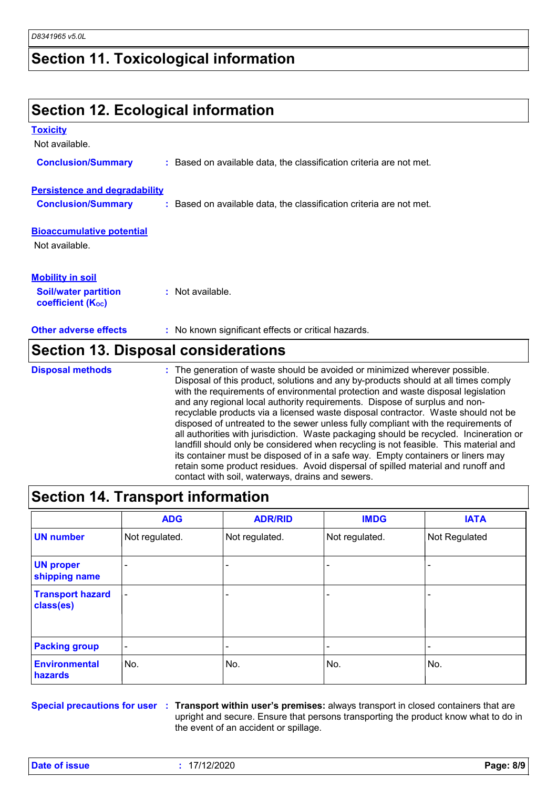#### **Section 11. Toxicological information**

#### **Section 12. Ecological information Bioaccumulative potential Other adverse effects** : No known significant effects or critical hazards. Not available. **Toxicity** Not available. **Conclusion/Summary :** Based on available data, the classification criteria are not met. **Persistence and degradability Conclusion/Summary :** Based on available data, the classification criteria are not met. **Soil/water partition coefficient (Koc) :** Not available. **Mobility in soil Section 13. Disposal considerations** : The generation of waste should be avoided or minimized wherever possible. Disposal of this product, solutions and any by-products should at all times comply with the requirements of environmental protection and waste disposal legislation and any regional local authority requirements. Dispose of surplus and nonrecyclable products via a licensed waste disposal contractor. Waste should not be disposed of untreated to the sewer unless fully compliant with the requirements of all authorities with jurisdiction. Waste packaging should be recycled. Incineration or **Disposal methods :**

| its container must be disposed of in a safe way. Empty containers or liners may<br>retain some product residues. Avoid dispersal of spilled material and runoff and<br>contact with soil, waterways, drains and sewers. |                |                |                |               |  |  |
|-------------------------------------------------------------------------------------------------------------------------------------------------------------------------------------------------------------------------|----------------|----------------|----------------|---------------|--|--|
| Section 14. Transport information                                                                                                                                                                                       |                |                |                |               |  |  |
|                                                                                                                                                                                                                         | <b>ADG</b>     | <b>ADR/RID</b> | <b>IMDG</b>    | <b>IATA</b>   |  |  |
| <b>UN number</b>                                                                                                                                                                                                        | Not regulated. | Not regulated. | Not regulated. | Not Regulated |  |  |
| <b>UN proper</b><br>shipping name                                                                                                                                                                                       |                |                |                |               |  |  |
| <b>Transport hazard</b><br>class(es)                                                                                                                                                                                    |                |                |                |               |  |  |

landfill should only be considered when recycling is not feasible. This material and

| <b>Packing group</b>            | $\overline{\phantom{0}}$ | $\overline{\phantom{a}}$                                                                                        | $\overline{\phantom{a}}$ | -               |
|---------------------------------|--------------------------|-----------------------------------------------------------------------------------------------------------------|--------------------------|-----------------|
| <b>Environmental</b><br>hazards | No.                      | No.                                                                                                             | INo.                     | IN <sub>o</sub> |
|                                 |                          | baaalahaan sanada an kan maan oo uu Taanaan ah midaha maanda maandaan ah meessa maraan ah ahaan ah ah maanaan h |                          |                 |

**Special precautions for user Transport within user's premises:** always transport in closed containers that are **:** upright and secure. Ensure that persons transporting the product know what to do in the event of an accident or spillage.